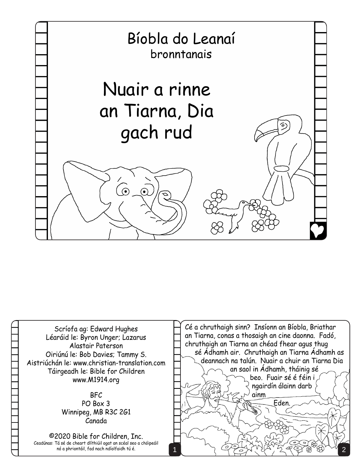

Scríofa ag: Edward Hughes Léaráid le: Byron Unger; Lazarus Alastair Paterson Oiriúnú le: Bob Davies; Tammy S. Aistriúchán le: www.christian-translation.com Táirgeadh le: Bible for Children www.M1914.org

## BFC PO Box 3 Winnipeg, MB R3C 2G1 Canada

©2020 Bible for Children, Inc. Ceadúnas: Tá sé de cheart dlíthiúil agat an scéal seo a chóipeáil nó a phriontáil, fad nach ndíolfaidh tú é.

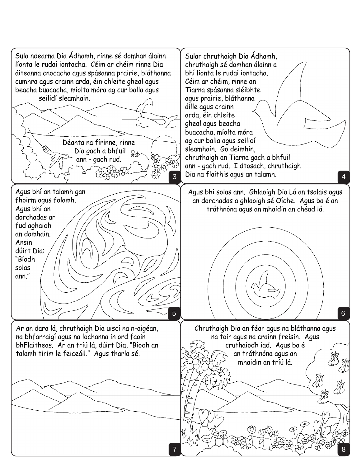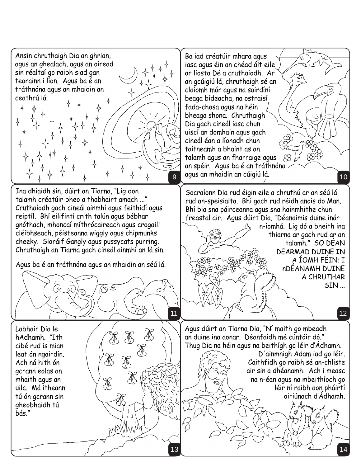